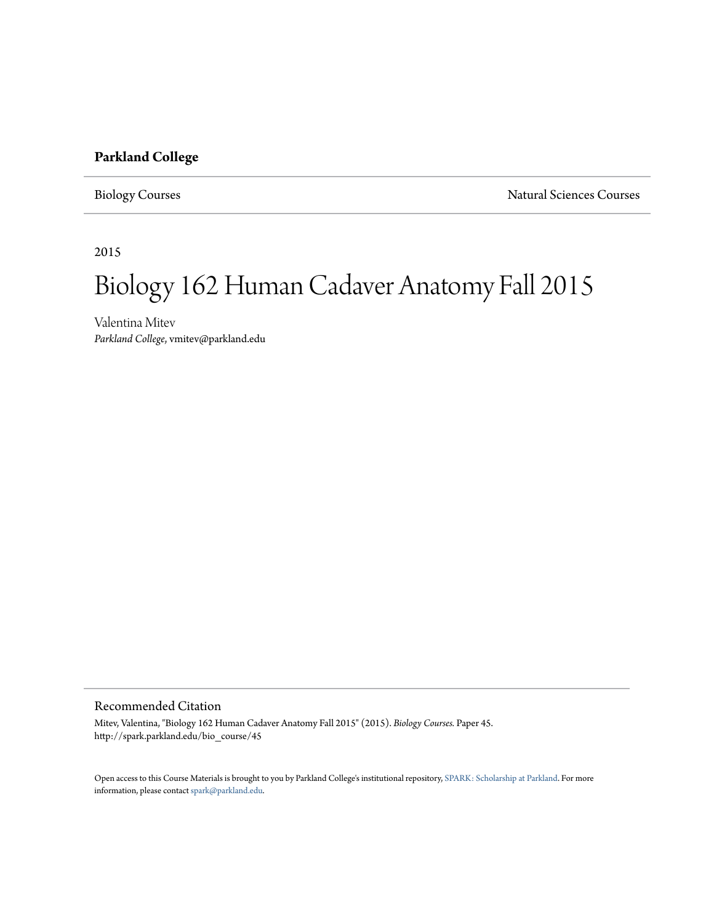# **Parkland College**

Biology Courses Natural Sciences Courses

2015

# Biology 162 Human Cadaver Anatomy Fall 2015

Valentina Mitev *Parkland College*, vmitev@parkland.edu

#### Recommended Citation

Mitev, Valentina, "Biology 162 Human Cadaver Anatomy Fall 2015" (2015). *Biology Courses.* Paper 45. http://spark.parkland.edu/bio\_course/45

Open access to this Course Materials is brought to you by Parkland College's institutional repository, [SPARK: Scholarship at Parkland](http://spark.parkland.edu/). For more information, please contact [spark@parkland.edu](mailto:spark@parkland.edu).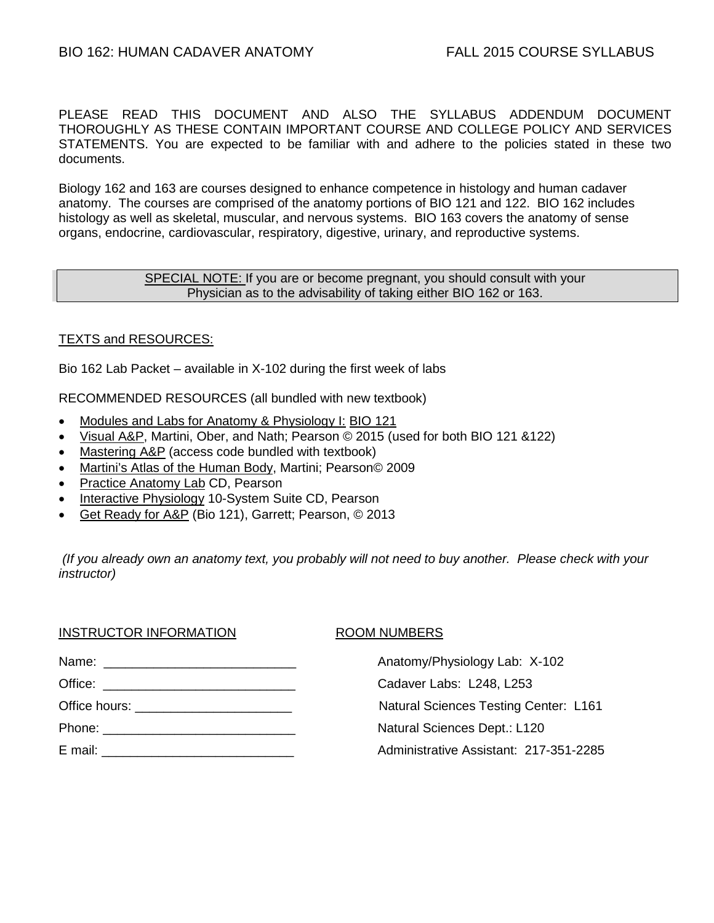PLEASE READ THIS DOCUMENT AND ALSO THE SYLLABUS ADDENDUM DOCUMENT THOROUGHLY AS THESE CONTAIN IMPORTANT COURSE AND COLLEGE POLICY AND SERVICES STATEMENTS. You are expected to be familiar with and adhere to the policies stated in these two documents.

Biology 162 and 163 are courses designed to enhance competence in histology and human cadaver anatomy. The courses are comprised of the anatomy portions of BIO 121 and 122. BIO 162 includes histology as well as skeletal, muscular, and nervous systems. BIO 163 covers the anatomy of sense organs, endocrine, cardiovascular, respiratory, digestive, urinary, and reproductive systems.

#### SPECIAL NOTE: If you are or become pregnant, you should consult with your Physician as to the advisability of taking either BIO 162 or 163.

# TEXTS and RESOURCES:

Bio 162 Lab Packet – available in X-102 during the first week of labs

RECOMMENDED RESOURCES (all bundled with new textbook)

- Modules and Labs for Anatomy & Physiology I: BIO 121
- Visual A&P, Martini, Ober, and Nath; Pearson © 2015 (used for both BIO 121 &122)
- Mastering A&P (access code bundled with textbook)
- Martini's Atlas of the Human Body, Martini; Pearson© 2009
- Practice Anatomy Lab CD, Pearson
- Interactive Physiology 10-System Suite CD, Pearson
- Get Ready for A&P (Bio 121), Garrett; Pearson, © 2013

*(If you already own an anatomy text, you probably will not need to buy another. Please check with your instructor)*

| <b>INSTRUCTOR INFORMATION</b>                  | <b>ROOM NUMBERS</b>                          |
|------------------------------------------------|----------------------------------------------|
|                                                | Anatomy/Physiology Lab: X-102                |
|                                                | Cadaver Labs: L248, L253                     |
| Office hours: <u>_________________________</u> | <b>Natural Sciences Testing Center: L161</b> |
|                                                | Natural Sciences Dept.: L120                 |
|                                                | Administrative Assistant: 217-351-2285       |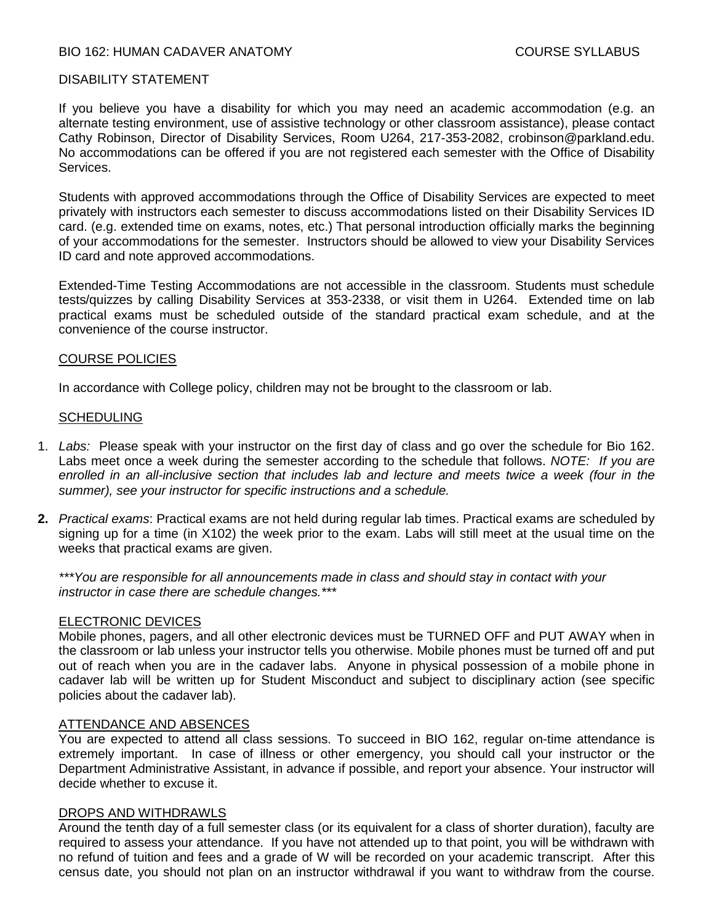### BIO 162: HUMAN CADAVER ANATOMY COURSE SYLLABUS

#### DISABILITY STATEMENT

If you believe you have a disability for which you may need an academic accommodation (e.g. an alternate testing environment, use of assistive technology or other classroom assistance), please contact Cathy Robinson, Director of Disability Services, Room U264, 217-353-2082, crobinson@parkland.edu. No accommodations can be offered if you are not registered each semester with the Office of Disability Services.

Students with approved accommodations through the Office of Disability Services are expected to meet privately with instructors each semester to discuss accommodations listed on their Disability Services ID card. (e.g. extended time on exams, notes, etc.) That personal introduction officially marks the beginning of your accommodations for the semester. Instructors should be allowed to view your Disability Services ID card and note approved accommodations.

Extended-Time Testing Accommodations are not accessible in the classroom. Students must schedule tests/quizzes by calling Disability Services at 353-2338, or visit them in U264. Extended time on lab practical exams must be scheduled outside of the standard practical exam schedule, and at the convenience of the course instructor.

#### COURSE POLICIES

In accordance with College policy, children may not be brought to the classroom or lab.

#### **SCHEDULING**

- 1. *Labs:* Please speak with your instructor on the first day of class and go over the schedule for Bio 162. Labs meet once a week during the semester according to the schedule that follows. *NOTE: If you are enrolled in an all-inclusive section that includes lab and lecture and meets twice a week (four in the summer), see your instructor for specific instructions and a schedule.*
- **2.** *Practical exams*: Practical exams are not held during regular lab times. Practical exams are scheduled by signing up for a time (in X102) the week prior to the exam. Labs will still meet at the usual time on the weeks that practical exams are given.

*\*\*\*You are responsible for all announcements made in class and should stay in contact with your instructor in case there are schedule changes.\*\*\**

#### ELECTRONIC DEVICES

Mobile phones, pagers, and all other electronic devices must be TURNED OFF and PUT AWAY when in the classroom or lab unless your instructor tells you otherwise. Mobile phones must be turned off and put out of reach when you are in the cadaver labs. Anyone in physical possession of a mobile phone in cadaver lab will be written up for Student Misconduct and subject to disciplinary action (see specific policies about the cadaver lab).

#### ATTENDANCE AND ABSENCES

You are expected to attend all class sessions. To succeed in BIO 162, regular on-time attendance is extremely important.In case of illness or other emergency, you should call your instructor or the Department Administrative Assistant, in advance if possible, and report your absence. Your instructor will decide whether to excuse it.

#### DROPS AND WITHDRAWLS

Around the tenth day of a full semester class (or its equivalent for a class of shorter duration), faculty are required to assess your attendance. If you have not attended up to that point, you will be withdrawn with no refund of tuition and fees and a grade of W will be recorded on your academic transcript. After this census date, you should not plan on an instructor withdrawal if you want to withdraw from the course.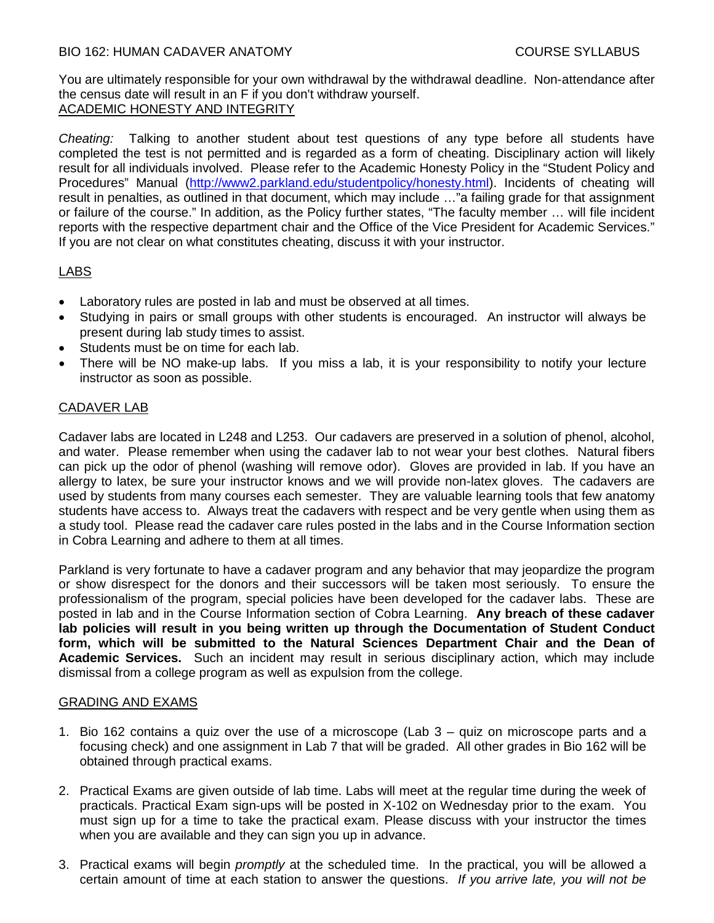# BIO 162: HUMAN CADAVER ANATOMY COURSE SYLLABUS

You are ultimately responsible for your own withdrawal by the withdrawal deadline. Non-attendance after the census date will result in an F if you don't withdraw yourself. ACADEMIC HONESTY AND INTEGRITY

*Cheating:* Talking to another student about test questions of any type before all students have completed the test is not permitted and is regarded as a form of cheating. Disciplinary action will likely result for all individuals involved. Please refer to the Academic Honesty Policy in the "Student Policy and Procedures" Manual [\(http://www2.parkland.edu/studentpolicy/honesty.html\)](http://www2.parkland.edu/studentpolicy/honesty.html). Incidents of cheating will result in penalties, as outlined in that document, which may include …"a failing grade for that assignment or failure of the course." In addition, as the Policy further states, "The faculty member … will file incident reports with the respective department chair and the Office of the Vice President for Academic Services." If you are not clear on what constitutes cheating, discuss it with your instructor.

# LABS

- Laboratory rules are posted in lab and must be observed at all times.
- Studying in pairs or small groups with other students is encouraged. An instructor will always be present during lab study times to assist.
- Students must be on time for each lab.
- There will be NO make-up labs. If you miss a lab, it is your responsibility to notify your lecture instructor as soon as possible.

# CADAVER LAB

Cadaver labs are located in L248 and L253. Our cadavers are preserved in a solution of phenol, alcohol, and water. Please remember when using the cadaver lab to not wear your best clothes. Natural fibers can pick up the odor of phenol (washing will remove odor). Gloves are provided in lab. If you have an allergy to latex, be sure your instructor knows and we will provide non-latex gloves. The cadavers are used by students from many courses each semester. They are valuable learning tools that few anatomy students have access to. Always treat the cadavers with respect and be very gentle when using them as a study tool. Please read the cadaver care rules posted in the labs and in the Course Information section in Cobra Learning and adhere to them at all times.

Parkland is very fortunate to have a cadaver program and any behavior that may jeopardize the program or show disrespect for the donors and their successors will be taken most seriously. To ensure the professionalism of the program, special policies have been developed for the cadaver labs. These are posted in lab and in the Course Information section of Cobra Learning. **Any breach of these cadaver lab policies will result in you being written up through the Documentation of Student Conduct form, which will be submitted to the Natural Sciences Department Chair and the Dean of Academic Services.** Such an incident may result in serious disciplinary action, which may include dismissal from a college program as well as expulsion from the college.

#### GRADING AND EXAMS

- 1. Bio 162 contains a quiz over the use of a microscope (Lab 3 quiz on microscope parts and a focusing check) and one assignment in Lab 7 that will be graded. All other grades in Bio 162 will be obtained through practical exams.
- 2. Practical Exams are given outside of lab time. Labs will meet at the regular time during the week of practicals. Practical Exam sign-ups will be posted in X-102 on Wednesday prior to the exam. You must sign up for a time to take the practical exam. Please discuss with your instructor the times when you are available and they can sign you up in advance.
- 3. Practical exams will begin *promptly* at the scheduled time. In the practical, you will be allowed a certain amount of time at each station to answer the questions. *If you arrive late, you will not be*